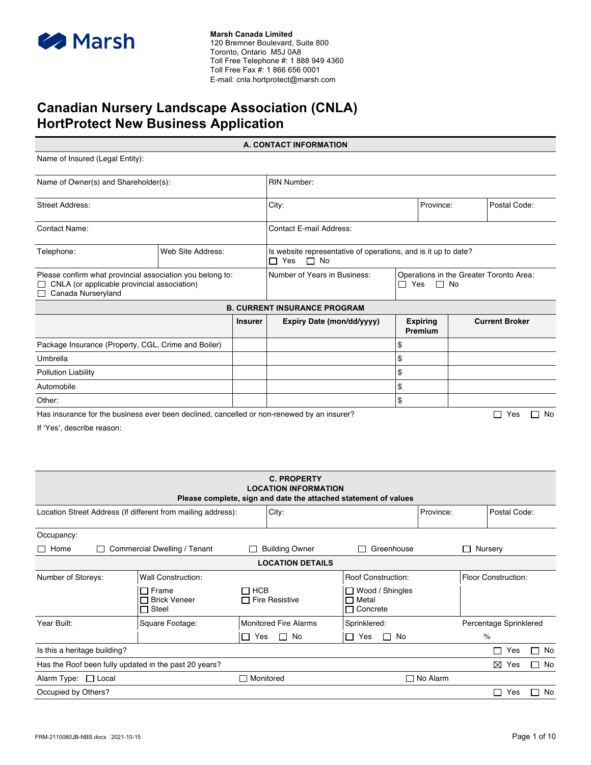

### **Canadian Nursery Landscape Association (CNLA) HortProtect New Business Application**

**A. CONTACT INFORMATION** Name of Insured (Legal Entity): Name of Owner(s) and Shareholder(s): RIN Number: Street Address: Postal Code: Province: Postal Code: Province: Postal Code: Postal Code: Postal Code: Contact Name: Contact E-mail Address: Telephone: Veb Site Address: Is website representative of operations, and is it up to date?  $\Box$  Yes  $\Box$  No Please confirm what provincial association you belong to:  $\Box$  CNLA (or applicable provincial association) Canada Nurseryland Number of Years in Business: Operations in the Greater Toronto Area:  $\Box$  Yes  $\Box$  No **B. CURRENT INSURANCE PROGRAM Insurer Expiry Date (mon/dd/yyyy) Expiring Premium Current Broker** Package Insurance (Property, CGL, Crime and Boiler) \$ Umbrella \$ Pollution Liability \$ Automobile \$ Other: \$

Has insurance for the business ever been declined, cancelled or non-renewed by an insurer?  $\Box$  Yes  $\Box$  No

If 'Yes', describe reason:

| <b>C. PROPERTY</b><br><b>LOCATION INFORMATION</b><br>Please complete, sign and date the attached statement of values |                                                     |           |                              |                                                      |                 |         |                            |           |
|----------------------------------------------------------------------------------------------------------------------|-----------------------------------------------------|-----------|------------------------------|------------------------------------------------------|-----------------|---------|----------------------------|-----------|
| Location Street Address (If different from mailing address):                                                         |                                                     |           | City:                        |                                                      | Province:       |         | Postal Code:               |           |
| Occupancy:                                                                                                           |                                                     |           |                              |                                                      |                 |         |                            |           |
| Home                                                                                                                 | Commercial Dwelling / Tenant                        |           | <b>Building Owner</b>        | Greenhouse                                           |                 | Nursery |                            |           |
|                                                                                                                      |                                                     |           | <b>LOCATION DETAILS</b>      |                                                      |                 |         |                            |           |
| Number of Storeys:                                                                                                   | <b>Wall Construction:</b>                           |           |                              | <b>Roof Construction:</b>                            |                 |         | <b>Floor Construction:</b> |           |
|                                                                                                                      | $\Box$ Frame<br><b>Brick Veneer</b><br>$\Box$ Steel | □ нсв     | $\Box$ Fire Resistive        | $\Box$ Wood / Shingles<br>□ Metal<br>$\Box$ Concrete |                 |         |                            |           |
| Year Built:                                                                                                          | Square Footage:                                     |           | <b>Monitored Fire Alarms</b> | Sprinklered:                                         |                 |         | Percentage Sprinklered     |           |
|                                                                                                                      |                                                     | Yes<br>ΙI | $\Box$ No                    | No<br>Yes<br>$\Box$<br>$\mathsf{L}$                  |                 | $\%$    |                            |           |
| Is this a heritage building?                                                                                         |                                                     |           |                              |                                                      |                 |         | Yes<br>$\Box$              | No<br>П   |
| Has the Roof been fully updated in the past 20 years?                                                                |                                                     |           |                              |                                                      |                 |         | ⊠<br>Yes                   | $\Box$ No |
| Alarm Type: $\Box$ Local                                                                                             |                                                     |           | Monitored                    |                                                      | $\Box$ No Alarm |         |                            |           |
| Occupied by Others?                                                                                                  |                                                     |           |                              |                                                      |                 |         | Yes                        | No<br>П   |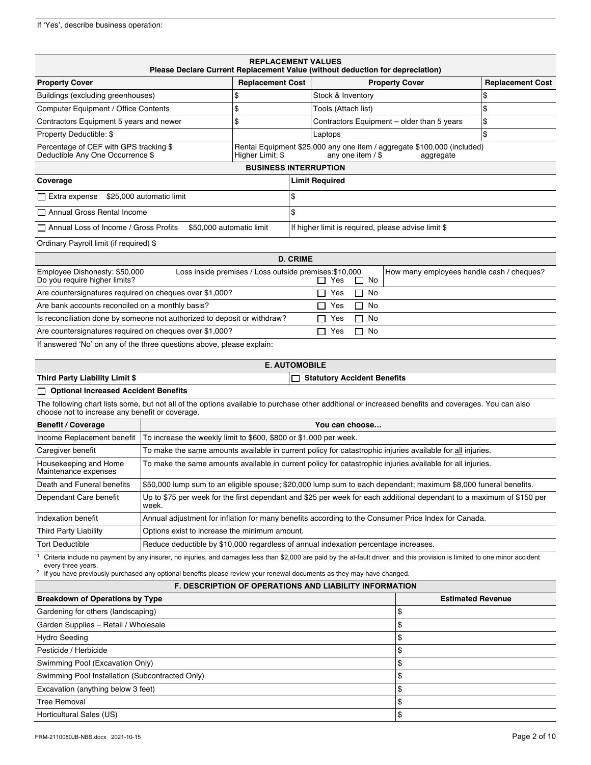| <b>REPLACEMENT VALUES</b><br>Please Declare Current Replacement Value (without deduction for depreciation)                                                                                             |                                                                                     |                              |                 |                                    |           |                                                                                                                       |                         |
|--------------------------------------------------------------------------------------------------------------------------------------------------------------------------------------------------------|-------------------------------------------------------------------------------------|------------------------------|-----------------|------------------------------------|-----------|-----------------------------------------------------------------------------------------------------------------------|-------------------------|
| <b>Property Cover</b>                                                                                                                                                                                  |                                                                                     | <b>Replacement Cost</b>      |                 |                                    |           | <b>Property Cover</b>                                                                                                 | <b>Replacement Cost</b> |
| Buildings (excluding greenhouses)                                                                                                                                                                      |                                                                                     | \$                           |                 | Stock & Inventory                  |           |                                                                                                                       | \$                      |
| <b>Computer Equipment / Office Contents</b>                                                                                                                                                            |                                                                                     | \$                           |                 | Tools (Attach list)                |           |                                                                                                                       | \$                      |
| Contractors Equipment 5 years and newer                                                                                                                                                                |                                                                                     | \$                           |                 |                                    |           | Contractors Equipment - older than 5 years                                                                            | \$                      |
| Property Deductible: \$                                                                                                                                                                                |                                                                                     |                              |                 | Laptops                            |           |                                                                                                                       | \$                      |
| Percentage of CEF with GPS tracking \$<br>Deductible Any One Occurrence \$                                                                                                                             |                                                                                     | Higher Limit: \$             |                 | any one item / \$                  |           | Rental Equipment \$25,000 any one item / aggregate \$100,000 (included)<br>aggregate                                  |                         |
|                                                                                                                                                                                                        |                                                                                     | <b>BUSINESS INTERRUPTION</b> |                 |                                    |           |                                                                                                                       |                         |
| Coverage                                                                                                                                                                                               |                                                                                     |                              |                 | <b>Limit Required</b>              |           |                                                                                                                       |                         |
| $\Box$ Extra expense \$25,000 automatic limit                                                                                                                                                          |                                                                                     |                              | \$              |                                    |           |                                                                                                                       |                         |
| □ Annual Gross Rental Income                                                                                                                                                                           |                                                                                     |                              | \$              |                                    |           |                                                                                                                       |                         |
| □ Annual Loss of Income / Gross Profits                                                                                                                                                                | \$50,000 automatic limit                                                            |                              |                 |                                    |           | If higher limit is required, please advise limit \$                                                                   |                         |
| Ordinary Payroll limit (if required) \$                                                                                                                                                                |                                                                                     |                              |                 |                                    |           |                                                                                                                       |                         |
|                                                                                                                                                                                                        |                                                                                     |                              | <b>D. CRIME</b> |                                    |           |                                                                                                                       |                         |
| Employee Dishonesty: \$50,000<br>Do you require higher limits?                                                                                                                                         | Loss inside premises / Loss outside premises: \$10,000                              |                              |                 | $\Box$ Yes                         | $\Box$ No | How many employees handle cash / cheques?                                                                             |                         |
| Are countersignatures required on cheques over \$1,000?                                                                                                                                                |                                                                                     |                              |                 | Yes                                | No<br>□   |                                                                                                                       |                         |
| Are bank accounts reconciled on a monthly basis?                                                                                                                                                       |                                                                                     |                              |                 | Yes<br>$\mathsf{L}$                | $\Box$ No |                                                                                                                       |                         |
| Is reconciliation done by someone not authorized to deposit or withdraw?                                                                                                                               |                                                                                     |                              |                 | Yes                                | No<br>LI  |                                                                                                                       |                         |
| Are countersignatures required on cheques over \$1,000?                                                                                                                                                |                                                                                     |                              |                 | $\Box$ Yes                         | $\Box$ No |                                                                                                                       |                         |
| If answered 'No' on any of the three questions above, please explain:                                                                                                                                  |                                                                                     |                              |                 |                                    |           |                                                                                                                       |                         |
|                                                                                                                                                                                                        |                                                                                     | <b>E. AUTOMOBILE</b>         |                 |                                    |           |                                                                                                                       |                         |
| Third Party Liability Limit \$                                                                                                                                                                         |                                                                                     |                              |                 | <b>Statutory Accident Benefits</b> |           |                                                                                                                       |                         |
| <b>Optional Increased Accident Benefits</b>                                                                                                                                                            |                                                                                     |                              |                 |                                    |           |                                                                                                                       |                         |
| The following chart lists some, but not all of the options available to purchase other additional or increased benefits and coverages. You can also<br>choose not to increase any benefit or coverage. |                                                                                     |                              |                 |                                    |           |                                                                                                                       |                         |
| <b>Benefit / Coverage</b>                                                                                                                                                                              |                                                                                     |                              |                 | You can choose                     |           |                                                                                                                       |                         |
| Income Replacement benefit                                                                                                                                                                             | To increase the weekly limit to \$600, \$800 or \$1,000 per week.                   |                              |                 |                                    |           |                                                                                                                       |                         |
| Caregiver benefit                                                                                                                                                                                      |                                                                                     |                              |                 |                                    |           | To make the same amounts available in current policy for catastrophic injuries available for all injuries.            |                         |
| Housekeeping and Home<br>Maintenance expenses                                                                                                                                                          |                                                                                     |                              |                 |                                    |           | To make the same amounts available in current policy for catastrophic injuries available for all injuries.            |                         |
| Death and Funeral benefits                                                                                                                                                                             |                                                                                     |                              |                 |                                    |           | \$50,000 lump sum to an eligible spouse; \$20,000 lump sum to each dependant; maximum \$8,000 funeral benefits.       |                         |
| Dependant Care benefit                                                                                                                                                                                 | week.                                                                               |                              |                 |                                    |           | Up to \$75 per week for the first dependant and \$25 per week for each additional dependant to a maximum of \$150 per |                         |
| Indexation benefit                                                                                                                                                                                     |                                                                                     |                              |                 |                                    |           | Annual adjustment for inflation for many benefits according to the Consumer Price Index for Canada.                   |                         |
| Third Party Liability                                                                                                                                                                                  | Options exist to increase the minimum amount.                                       |                              |                 |                                    |           |                                                                                                                       |                         |
| <b>Tort Deductible</b>                                                                                                                                                                                 | Reduce deductible by \$10,000 regardless of annual indexation percentage increases. |                              |                 |                                    |           |                                                                                                                       |                         |
| Criteria include no payment by any insurer, no injuries, and damages less than \$2,000 are paid by the at-fault driver, and this provision is limited to one minor accident<br>every three years.      |                                                                                     |                              |                 |                                    |           |                                                                                                                       |                         |
| $2\;$ If you have previously purchased any optional benefits please review your renewal documents as they may have changed.                                                                            |                                                                                     |                              |                 |                                    |           |                                                                                                                       |                         |
| <b>F. DESCRIPTION OF OPERATIONS AND LIABILITY INFORMATION</b>                                                                                                                                          |                                                                                     |                              |                 |                                    |           |                                                                                                                       |                         |
| <b>Breakdown of Operations by Type</b>                                                                                                                                                                 |                                                                                     |                              |                 |                                    |           | <b>Estimated Revenue</b>                                                                                              |                         |
| Gardening for others (landscaping)<br>\$                                                                                                                                                               |                                                                                     |                              |                 |                                    |           |                                                                                                                       |                         |
| Garden Supplies - Retail / Wholesale                                                                                                                                                                   |                                                                                     |                              |                 |                                    |           | \$                                                                                                                    |                         |
| \$<br>Hydro Seeding                                                                                                                                                                                    |                                                                                     |                              |                 |                                    |           |                                                                                                                       |                         |
| Pesticide / Herbicide                                                                                                                                                                                  |                                                                                     |                              |                 |                                    |           | \$                                                                                                                    |                         |
| Swimming Pool (Excavation Only)                                                                                                                                                                        |                                                                                     |                              |                 |                                    |           | \$                                                                                                                    |                         |
| Swimming Pool Installation (Subcontracted Only)                                                                                                                                                        |                                                                                     |                              |                 |                                    |           | \$                                                                                                                    |                         |
| Excavation (anything below 3 feet)                                                                                                                                                                     |                                                                                     |                              |                 |                                    |           | \$                                                                                                                    |                         |
| <b>Tree Removal</b>                                                                                                                                                                                    |                                                                                     |                              |                 |                                    |           | \$                                                                                                                    |                         |
| \$<br>Horticultural Sales (US)                                                                                                                                                                         |                                                                                     |                              |                 |                                    |           |                                                                                                                       |                         |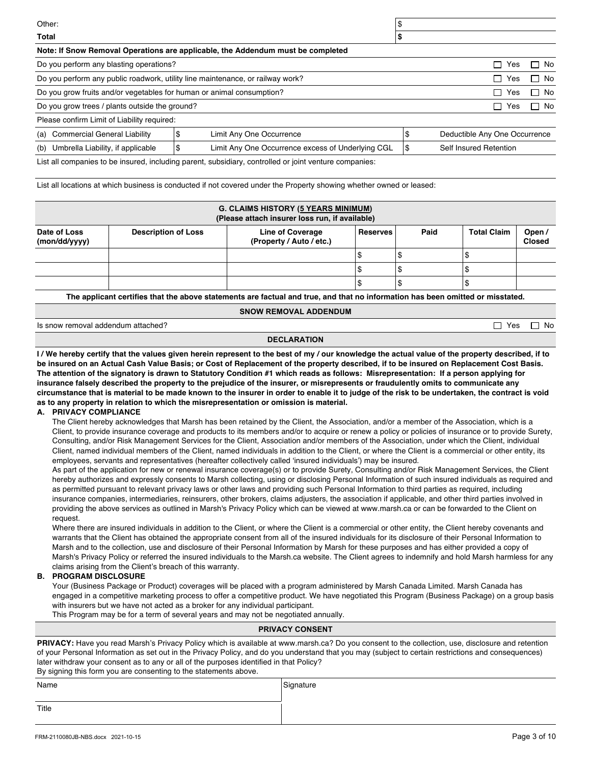| Other:                                                                                                                               |   |                                                                                                        | \$                  |                               |      |
|--------------------------------------------------------------------------------------------------------------------------------------|---|--------------------------------------------------------------------------------------------------------|---------------------|-------------------------------|------|
| Total                                                                                                                                |   |                                                                                                        | æ                   |                               |      |
|                                                                                                                                      |   | Note: If Snow Removal Operations are applicable, the Addendum must be completed                        |                     |                               |      |
| Do you perform any blasting operations?<br>П<br>Yes                                                                                  |   |                                                                                                        |                     | No.                           |      |
| Do you perform any public roadwork, utility line maintenance, or railway work?                                                       |   |                                                                                                        |                     | Yes<br>П                      | No.  |
| Do you grow fruits and/or vegetables for human or animal consumption?                                                                |   |                                                                                                        | Yes<br>$\mathsf{L}$ | No.<br>- 1                    |      |
| Do you grow trees / plants outside the ground?                                                                                       |   |                                                                                                        |                     | Yes<br>$\mathsf{L}$           | □ No |
| Please confirm Limit of Liability required:                                                                                          |   |                                                                                                        |                     |                               |      |
| (a) Commercial General Liability                                                                                                     | ъ | Limit Any One Occurrence                                                                               | \$                  | Deductible Any One Occurrence |      |
| Umbrella Liability, if applicable<br>Limit Any One Occurrence excess of Underlying CGL<br>Self Insured Retention<br>(b)<br>S<br>l \$ |   |                                                                                                        |                     |                               |      |
|                                                                                                                                      |   | List all companies to be insured, including parent, subsidiary, controlled or joint venture companies: |                     |                               |      |

List all locations at which business is conducted if not covered under the Property showing whether owned or leased:

| <b>G. CLAIMS HISTORY (5 YEARS MINIMUM)</b><br>(Please attach insurer loss run, if available) |                            |                                                     |                 |      |                    |                        |  |
|----------------------------------------------------------------------------------------------|----------------------------|-----------------------------------------------------|-----------------|------|--------------------|------------------------|--|
| Date of Loss<br>(mon/dd/yyyy)                                                                | <b>Description of Loss</b> | <b>Line of Coverage</b><br>(Property / Auto / etc.) | <b>Reserves</b> | Paid | <b>Total Claim</b> | Open/<br><b>Closed</b> |  |
|                                                                                              |                            |                                                     |                 |      |                    |                        |  |
|                                                                                              |                            |                                                     |                 |      |                    |                        |  |
|                                                                                              |                            |                                                     |                 |      |                    |                        |  |

**The applicant certifies that the above statements are factual and true, and that no information has been omitted or misstated.**

**SNOW REMOVAL ADDENDUM**

Is snow removal addendum attached? In the state of the state of the state of the state of the state of the state of the state of the state of the state of the state of the state of the state of the state of the state of th

#### **DECLARATION**

**I / We hereby certify that the values given herein represent to the best of my / our knowledge the actual value of the property described, if to be insured on an Actual Cash Value Basis; or Cost of Replacement of the property described, if to be insured on Replacement Cost Basis. The attention of the signatory is drawn to Statutory Condition #1 which reads as follows: Misrepresentation: If a person applying for insurance falsely described the property to the prejudice of the insurer, or misrepresents or fraudulently omits to communicate any circumstance that is material to be made known to the insurer in order to enable it to judge of the risk to be undertaken, the contract is void as to any property in relation to which the misrepresentation or omission is material.**

#### **A. PRIVACY COMPLIANCE**

The Client hereby acknowledges that Marsh has been retained by the Client, the Association, and/or a member of the Association, which is a Client, to provide insurance coverage and products to its members and/or to acquire or renew a policy or policies of insurance or to provide Surety, Consulting, and/or Risk Management Services for the Client, Association and/or members of the Association, under which the Client, individual Client, named individual members of the Client, named individuals in addition to the Client, or where the Client is a commercial or other entity, its employees, servants and representatives (hereafter collectively called 'insured individuals') may be insured.

As part of the application for new or renewal insurance coverage(s) or to provide Surety, Consulting and/or Risk Management Services, the Client hereby authorizes and expressly consents to Marsh collecting, using or disclosing Personal Information of such insured individuals as required and as permitted pursuant to relevant privacy laws or other laws and providing such Personal Information to third parties as required, including insurance companies, intermediaries, reinsurers, other brokers, claims adjusters, the association if applicable, and other third parties involved in providing the above services as outlined in Marsh's Privacy Policy which can be viewed at www.marsh.ca or can be forwarded to the Client on request.

Where there are insured individuals in addition to the Client, or where the Client is a commercial or other entity, the Client hereby covenants and warrants that the Client has obtained the appropriate consent from all of the insured individuals for its disclosure of their Personal Information to Marsh and to the collection, use and disclosure of their Personal Information by Marsh for these purposes and has either provided a copy of Marsh's Privacy Policy or referred the insured individuals to the Marsh.ca website. The Client agrees to indemnify and hold Marsh harmless for any claims arising from the Client's breach of this warranty.

#### **B. PROGRAM DISCLOSURE**

Your (Business Package or Product) coverages will be placed with a program administered by Marsh Canada Limited. Marsh Canada has engaged in a competitive marketing process to offer a competitive product. We have negotiated this Program (Business Package) on a group basis with insurers but we have not acted as a broker for any individual participant.

This Program may be for a term of several years and may not be negotiated annually.

#### **PRIVACY CONSENT**

**PRIVACY:** Have you read Marsh's Privacy Policy which is available at www.marsh.ca? Do you consent to the collection, use, disclosure and retention of your Personal Information as set out in the Privacy Policy, and do you understand that you may (subject to certain restrictions and consequences) later withdraw your consent as to any or all of the purposes identified in that Policy?

By signing this form you are consenting to the statements above.

| Name  | Signature |
|-------|-----------|
|       |           |
| Title |           |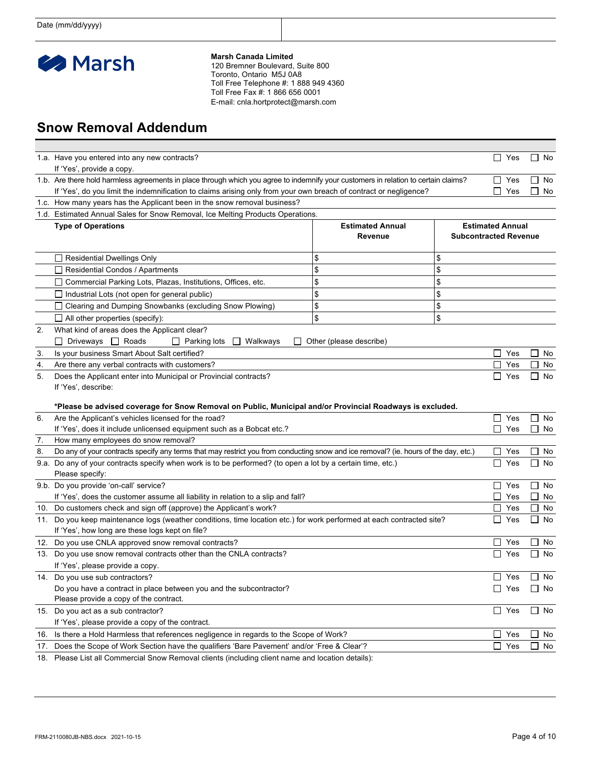

**Marsh Canada Limited**

120 Bremner Boulevard, Suite 800 Toronto, Ontario M5J 0A8 Toll Free Telephone #: 1 888 949 4360 Toll Free Fax #: 1 866 656 0001 E-mail: cnla.hortprotect@marsh.com

## **Snow Removal Addendum**

|                                                                                               | 1.a. Have you entered into any new contracts?                                                                                               |                                    |    | $\Box$ Yes                                              | $\Box$ No          |  |
|-----------------------------------------------------------------------------------------------|---------------------------------------------------------------------------------------------------------------------------------------------|------------------------------------|----|---------------------------------------------------------|--------------------|--|
|                                                                                               | If 'Yes', provide a copy.                                                                                                                   |                                    |    |                                                         |                    |  |
|                                                                                               | 1.b. Are there hold harmless agreements in place through which you agree to indemnify your customers in relation to certain claims?         |                                    |    | $\Box$ Yes                                              | $\Box$ No          |  |
|                                                                                               | If 'Yes', do you limit the indemnification to claims arising only from your own breach of contract or negligence?                           |                                    |    | Yes<br>$\Box$                                           | No                 |  |
|                                                                                               | 1.c. How many years has the Applicant been in the snow removal business?                                                                    |                                    |    |                                                         |                    |  |
|                                                                                               | 1.d. Estimated Annual Sales for Snow Removal, Ice Melting Products Operations.                                                              |                                    |    |                                                         |                    |  |
|                                                                                               | <b>Type of Operations</b>                                                                                                                   | <b>Estimated Annual</b><br>Revenue |    | <b>Estimated Annual</b><br><b>Subcontracted Revenue</b> |                    |  |
|                                                                                               | Residential Dwellings Only                                                                                                                  | \$                                 | \$ |                                                         |                    |  |
|                                                                                               | Residential Condos / Apartments                                                                                                             | \$                                 | \$ |                                                         |                    |  |
|                                                                                               | □ Commercial Parking Lots, Plazas, Institutions, Offices, etc.                                                                              | \$                                 | \$ |                                                         |                    |  |
|                                                                                               | Industrial Lots (not open for general public)                                                                                               | \$                                 | \$ |                                                         |                    |  |
|                                                                                               | Clearing and Dumping Snowbanks (excluding Snow Plowing)                                                                                     | \$                                 | \$ |                                                         |                    |  |
|                                                                                               | $\Box$ All other properties (specify):                                                                                                      | \$                                 | \$ |                                                         |                    |  |
| 2.                                                                                            | What kind of areas does the Applicant clear?                                                                                                |                                    |    |                                                         |                    |  |
|                                                                                               | Driveways <b>Q</b> Roads<br>$\Box$ Parking lots<br>Walkways<br>└                                                                            | Other (please describe)            |    |                                                         |                    |  |
| 3.                                                                                            | Is your business Smart About Salt certified?                                                                                                |                                    |    | Yes<br>$\mathsf{L}$                                     | No                 |  |
| 4.                                                                                            | Are there any verbal contracts with customers?                                                                                              |                                    |    |                                                         |                    |  |
| 5.                                                                                            | Does the Applicant enter into Municipal or Provincial contracts?                                                                            |                                    |    |                                                         | No<br>No           |  |
|                                                                                               | If 'Yes', describe:                                                                                                                         |                                    |    | Yes                                                     |                    |  |
|                                                                                               |                                                                                                                                             |                                    |    |                                                         |                    |  |
|                                                                                               | *Please be advised coverage for Snow Removal on Public, Municipal and/or Provincial Roadways is excluded.                                   |                                    |    |                                                         |                    |  |
| 6.                                                                                            | Are the Applicant's vehicles licensed for the road?                                                                                         |                                    |    | $\Box$ Yes                                              | $\Box$ No          |  |
|                                                                                               | If 'Yes', does it include unlicensed equipment such as a Bobcat etc.?                                                                       |                                    |    | l 1<br>Yes                                              | $\mathsf{L}$<br>No |  |
| 7.                                                                                            | How many employees do snow removal?                                                                                                         |                                    |    |                                                         |                    |  |
| 8.                                                                                            | Do any of your contracts specify any terms that may restrict you from conducting snow and ice removal? (ie. hours of the day, etc.)         |                                    |    | Yes<br>ப                                                | No                 |  |
|                                                                                               | 9.a. Do any of your contracts specify when work is to be performed? (to open a lot by a certain time, etc.)                                 |                                    |    | Yes<br>ப                                                | No                 |  |
|                                                                                               | Please specify:                                                                                                                             |                                    |    |                                                         |                    |  |
|                                                                                               | 9.b. Do you provide 'on-call' service?                                                                                                      |                                    |    | Yes<br>$\mathsf{L}$                                     | ∐ No               |  |
|                                                                                               | If 'Yes', does the customer assume all liability in relation to a slip and fall?                                                            |                                    |    | П<br>Yes                                                | $\mathsf{L}$<br>No |  |
|                                                                                               | 10. Do customers check and sign off (approve) the Applicant's work?                                                                         |                                    |    | Yes<br>$\mathsf{L}$                                     | No                 |  |
|                                                                                               | 11. Do you keep maintenance logs (weather conditions, time location etc.) for work performed at each contracted site?<br>l 1<br>Yes<br>∐ No |                                    |    |                                                         |                    |  |
|                                                                                               | If 'Yes', how long are these logs kept on file?                                                                                             |                                    |    | $\Box$<br>Yes                                           | $\Box$ No          |  |
|                                                                                               | 12. Do you use CNLA approved snow removal contracts?                                                                                        |                                    |    |                                                         | $\Box$ No          |  |
|                                                                                               | 13. Do you use snow removal contracts other than the CNLA contracts?                                                                        |                                    |    | Yes<br>ப                                                |                    |  |
|                                                                                               | If 'Yes', please provide a copy.                                                                                                            |                                    |    | $\Box$ Yes                                              | $\Box$ No          |  |
|                                                                                               | 14. Do you use sub contractors?                                                                                                             |                                    |    |                                                         |                    |  |
|                                                                                               | Do you have a contract in place between you and the subcontractor?<br>Please provide a copy of the contract.                                |                                    |    | $\Box$ Yes                                              | $\Box$ No          |  |
|                                                                                               | 15. Do you act as a sub contractor?                                                                                                         |                                    |    | $\Box$ Yes                                              | $\Box$ No          |  |
|                                                                                               | If 'Yes', please provide a copy of the contract.                                                                                            |                                    |    |                                                         |                    |  |
| 16.                                                                                           | Is there a Hold Harmless that references negligence in regards to the Scope of Work?                                                        |                                    |    | $\Box$<br>Yes                                           | $\Box$ No          |  |
|                                                                                               |                                                                                                                                             |                                    |    | П.<br>Yes                                               | $\Box$ No          |  |
| 17. Does the Scope of Work Section have the qualifiers 'Bare Pavement' and/or 'Free & Clear'? |                                                                                                                                             |                                    |    |                                                         |                    |  |

18. Please List all Commercial Snow Removal clients (including client name and location details):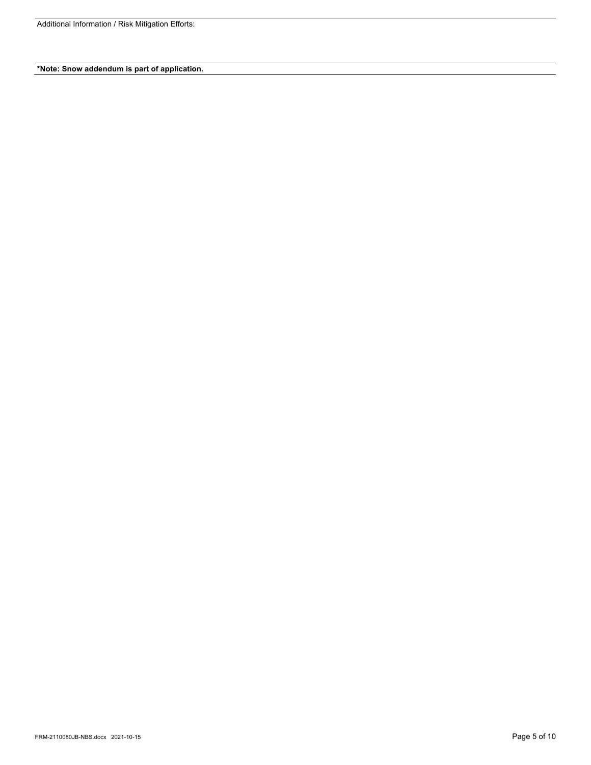Additional Information / Risk Mitigation Efforts:

**\*Note: Snow addendum is part of application.**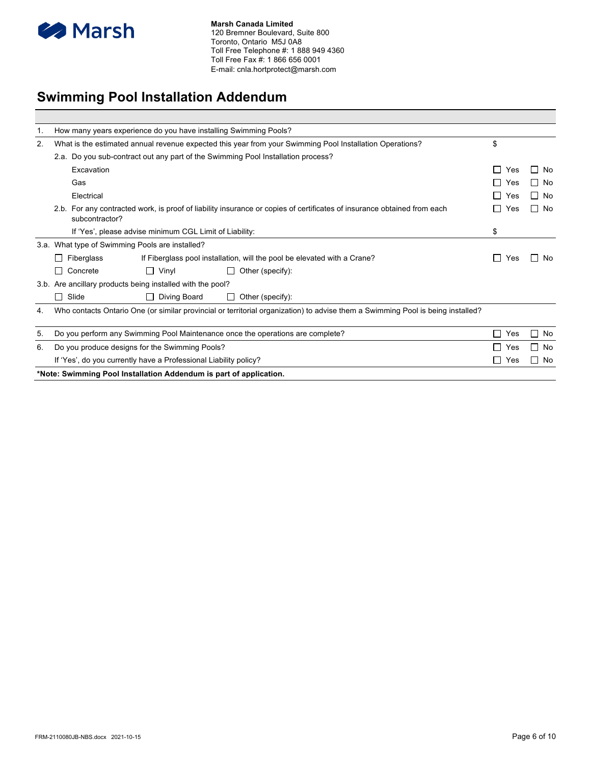

# **Swimming Pool Installation Addendum**

| 1. |                                                                                                                                 | How many years experience do you have installing Swimming Pools?   |                                                                                                                         |                       |                    |  |
|----|---------------------------------------------------------------------------------------------------------------------------------|--------------------------------------------------------------------|-------------------------------------------------------------------------------------------------------------------------|-----------------------|--------------------|--|
| 2. | What is the estimated annual revenue expected this year from your Swimming Pool Installation Operations?                        |                                                                    |                                                                                                                         |                       |                    |  |
|    |                                                                                                                                 |                                                                    | 2.a. Do you sub-contract out any part of the Swimming Pool Installation process?                                        |                       |                    |  |
|    | Excavation                                                                                                                      |                                                                    |                                                                                                                         | Yes<br>$\mathsf{L}$   | П<br>No            |  |
|    | Gas                                                                                                                             |                                                                    |                                                                                                                         | Yes<br>$\blacksquare$ | $\Box$ No          |  |
|    | Electrical                                                                                                                      |                                                                    |                                                                                                                         | $\mathbf{I}$<br>Yes   | $\Box$ No          |  |
|    | subcontractor?                                                                                                                  |                                                                    | 2.b. For any contracted work, is proof of liability insurance or copies of certificates of insurance obtained from each | Yes                   | $\Box$ No          |  |
|    |                                                                                                                                 | If 'Yes', please advise minimum CGL Limit of Liability:            |                                                                                                                         | \$                    |                    |  |
|    |                                                                                                                                 | 3.a. What type of Swimming Pools are installed?                    |                                                                                                                         |                       |                    |  |
|    | Fiberglass<br>l 1                                                                                                               |                                                                    | If Fiberglass pool installation, will the pool be elevated with a Crane?                                                | Yes                   | No<br>$\mathbf{I}$ |  |
|    | Concrete<br>П                                                                                                                   | $\Box$ Vinyl                                                       | Other (specify):                                                                                                        |                       |                    |  |
|    |                                                                                                                                 | 3.b. Are ancillary products being installed with the pool?         |                                                                                                                         |                       |                    |  |
|    | Slide<br>$\Box$                                                                                                                 | Diving Board                                                       | Other (specify):                                                                                                        |                       |                    |  |
| 4. | Who contacts Ontario One (or similar provincial or territorial organization) to advise them a Swimming Pool is being installed? |                                                                    |                                                                                                                         |                       |                    |  |
| 5. |                                                                                                                                 |                                                                    | Do you perform any Swimming Pool Maintenance once the operations are complete?                                          | $\mathsf{L}$<br>Yes   | □<br>No            |  |
| 6. | $\Box$<br>No<br>Do you produce designs for the Swimming Pools?<br>Yes<br>$\mathbf{I}$                                           |                                                                    |                                                                                                                         |                       |                    |  |
|    | $\Box$ No<br>If 'Yes', do you currently have a Professional Liability policy?<br>$\blacksquare$<br>Yes                          |                                                                    |                                                                                                                         |                       |                    |  |
|    |                                                                                                                                 | *Note: Swimming Pool Installation Addendum is part of application. |                                                                                                                         |                       |                    |  |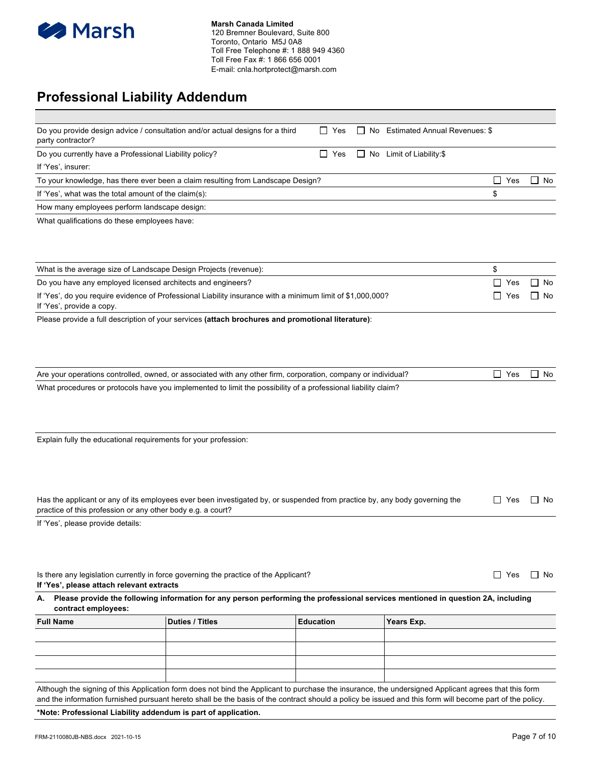

## **Professional Liability Addendum**

| party contractor?                                                | Do you provide design advice / consultation and/or actual designs for a third                                                       | $\Box$ Yes       | $\Box$ No Estimated Annual Revenues: \$ |            |     |           |
|------------------------------------------------------------------|-------------------------------------------------------------------------------------------------------------------------------------|------------------|-----------------------------------------|------------|-----|-----------|
| Do you currently have a Professional Liability policy?           |                                                                                                                                     | $\Box$ Yes       | $\Box$ No Limit of Liability:\$         |            |     |           |
| If 'Yes', insurer:                                               |                                                                                                                                     |                  |                                         |            |     |           |
|                                                                  | To your knowledge, has there ever been a claim resulting from Landscape Design?                                                     |                  |                                         | $\Box$ Yes |     | $\Box$ No |
| If 'Yes', what was the total amount of the claim(s):             |                                                                                                                                     |                  |                                         | \$         |     |           |
| How many employees perform landscape design:                     |                                                                                                                                     |                  |                                         |            |     |           |
| What qualifications do these employees have:                     |                                                                                                                                     |                  |                                         |            |     |           |
|                                                                  |                                                                                                                                     |                  |                                         | \$         |     |           |
| What is the average size of Landscape Design Projects (revenue): |                                                                                                                                     |                  |                                         |            |     |           |
| Do you have any employed licensed architects and engineers?      |                                                                                                                                     |                  |                                         | $\Box$ Yes |     | ∐ No      |
| If 'Yes', provide a copy.                                        | If 'Yes', do you require evidence of Professional Liability insurance with a minimum limit of \$1,000,000?                          |                  |                                         | □          | Yes | No        |
|                                                                  | Please provide a full description of your services (attach brochures and promotional literature):                                   |                  |                                         |            |     |           |
|                                                                  |                                                                                                                                     |                  |                                         |            |     |           |
|                                                                  | Are your operations controlled, owned, or associated with any other firm, corporation, company or individual?                       |                  |                                         | $\Box$ Yes |     | ∐ No      |
|                                                                  | What procedures or protocols have you implemented to limit the possibility of a professional liability claim?                       |                  |                                         |            |     |           |
|                                                                  |                                                                                                                                     |                  |                                         |            |     |           |
| Explain fully the educational requirements for your profession:  |                                                                                                                                     |                  |                                         |            |     |           |
|                                                                  |                                                                                                                                     |                  |                                         |            |     |           |
|                                                                  |                                                                                                                                     |                  |                                         |            |     |           |
|                                                                  |                                                                                                                                     |                  |                                         |            |     |           |
|                                                                  | Has the applicant or any of its employees ever been investigated by, or suspended from practice by, any body governing the          |                  |                                         | ∐ Yes      |     | l I No    |
| practice of this profession or any other body e.g. a court?      |                                                                                                                                     |                  |                                         |            |     |           |
| If 'Yes', please provide details:                                |                                                                                                                                     |                  |                                         |            |     |           |
|                                                                  |                                                                                                                                     |                  |                                         |            |     |           |
|                                                                  |                                                                                                                                     |                  |                                         |            |     |           |
|                                                                  |                                                                                                                                     |                  |                                         |            |     |           |
| If 'Yes', please attach relevant extracts                        | Is there any legislation currently in force governing the practice of the Applicant?                                                |                  |                                         | $\Box$ Yes |     | $\Box$ No |
| contract employees:                                              | A. Please provide the following information for any person performing the professional services mentioned in question 2A, including |                  |                                         |            |     |           |
| <b>Full Name</b>                                                 | <b>Duties / Titles</b>                                                                                                              | <b>Education</b> | Years Exp.                              |            |     |           |
|                                                                  |                                                                                                                                     |                  |                                         |            |     |           |
|                                                                  |                                                                                                                                     |                  |                                         |            |     |           |
|                                                                  |                                                                                                                                     |                  |                                         |            |     |           |
|                                                                  |                                                                                                                                     |                  |                                         |            |     |           |
|                                                                  |                                                                                                                                     |                  |                                         |            |     |           |

Although the signing of this Application form does not bind the Applicant to purchase the insurance, the undersigned Applicant agrees that this form and the information furnished pursuant hereto shall be the basis of the contract should a policy be issued and this form will become part of the policy.

**\*Note: Professional Liability addendum is part of application.**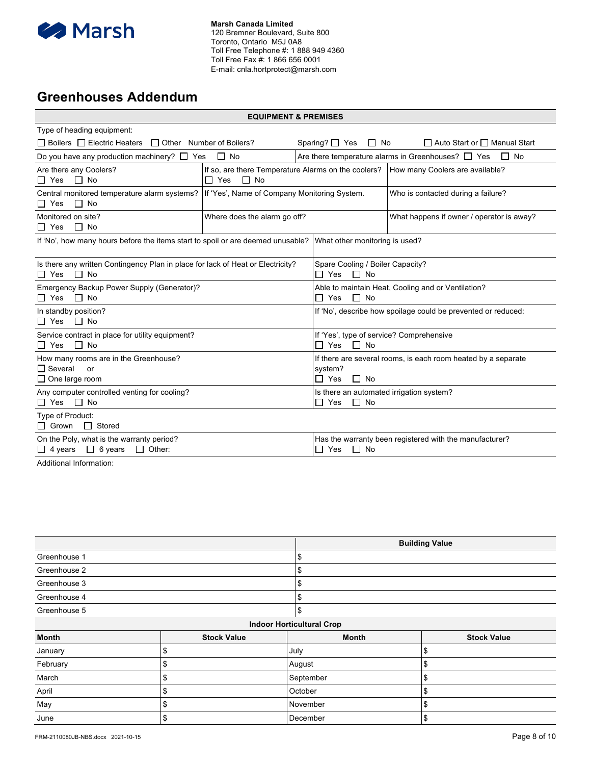

### **Greenhouses Addendum**

| <b>EQUIPMENT &amp; PREMISES</b>                                                                               |                              |                                                                                                       |                                                                                     |  |  |  |
|---------------------------------------------------------------------------------------------------------------|------------------------------|-------------------------------------------------------------------------------------------------------|-------------------------------------------------------------------------------------|--|--|--|
| Type of heading equipment:                                                                                    |                              |                                                                                                       |                                                                                     |  |  |  |
| $\Box$ Boilers $\Box$ Electric Heaters $\Box$ Other Number of Boilers?                                        |                              | Sparing? $\Box$ Yes<br>$\Box$ No                                                                      | $\Box$ Auto Start or $\Box$ Manual Start                                            |  |  |  |
| Do you have any production machinery? $\Box$ Yes $\Box$ No                                                    |                              |                                                                                                       | Are there temperature alarms in Greenhouses? $\Box$ Yes<br>$\Box$ No                |  |  |  |
| Are there any Coolers?<br>$\Box$ No<br>□ Yes                                                                  | $\Box$ No<br>$\Box$ Yes      |                                                                                                       | If so, are there Temperature Alarms on the coolers? How many Coolers are available? |  |  |  |
| Central monitored temperature alarm systems? If 'Yes', Name of Company Monitoring System.<br>$\Box$ No<br>Yes |                              |                                                                                                       | Who is contacted during a failure?                                                  |  |  |  |
| Monitored on site?<br>$\Box$ No<br>$\Box$ Yes                                                                 | Where does the alarm go off? |                                                                                                       | What happens if owner / operator is away?                                           |  |  |  |
| If 'No', how many hours before the items start to spoil or are deemed unusable?                               |                              | What other monitoring is used?                                                                        |                                                                                     |  |  |  |
| Is there any written Contingency Plan in place for lack of Heat or Electricity?<br>$\Box$ No<br>$\Box$ Yes    |                              | Spare Cooling / Boiler Capacity?<br>$\Box$ No<br>$\Box$ Yes                                           |                                                                                     |  |  |  |
| Emergency Backup Power Supply (Generator)?<br>$\Box$ No<br>Yes                                                |                              | Able to maintain Heat, Cooling and or Ventilation?<br>$\Box$ No<br>Yes                                |                                                                                     |  |  |  |
| In standby position?<br>$\Box$ No<br>$\Box$ Yes                                                               |                              | If 'No', describe how spoilage could be prevented or reduced:                                         |                                                                                     |  |  |  |
| Service contract in place for utility equipment?<br>$\Box$ No<br>□ Yes                                        |                              | If 'Yes', type of service? Comprehensive<br>$\Box$ No<br>$\Box$ Yes                                   |                                                                                     |  |  |  |
| How many rooms are in the Greenhouse?<br>$\Box$ Several<br>or<br>$\Box$ One large room                        |                              | If there are several rooms, is each room heated by a separate<br>system?<br>$\sqcap$ Yes<br>$\Box$ No |                                                                                     |  |  |  |
| Any computer controlled venting for cooling?<br>$\Box$ No<br>Π Yes                                            |                              | Is there an automated irrigation system?<br>∏ Yes<br>$\Box$ No                                        |                                                                                     |  |  |  |
| Type of Product:<br>Grown<br>$\Box$ Stored                                                                    |                              |                                                                                                       |                                                                                     |  |  |  |
| On the Poly, what is the warranty period?<br>$\Box$ Other:<br>$\Box$ 4 years $\Box$ 6 years                   |                              | $\Box$ No<br>Yes                                                                                      | Has the warranty been registered with the manufacturer?                             |  |  |  |

Additional Information:

|              |                    |                                  | <b>Building Value</b> |
|--------------|--------------------|----------------------------------|-----------------------|
| Greenhouse 1 |                    | \$                               |                       |
| Greenhouse 2 |                    | \$                               |                       |
| Greenhouse 3 |                    | \$                               |                       |
| Greenhouse 4 |                    | \$                               |                       |
| Greenhouse 5 |                    | \$                               |                       |
|              |                    | <b>Indoor Horticultural Crop</b> |                       |
| <b>Month</b> | <b>Stock Value</b> | <b>Month</b>                     | <b>Stock Value</b>    |
| January      | \$                 | July                             | \$                    |
| February     | \$                 | August                           | \$                    |
| March        | \$                 | September                        | \$                    |
| April        | \$                 | October                          | \$                    |
| May          | \$                 | November                         | \$                    |
| June         | \$                 | December                         | \$                    |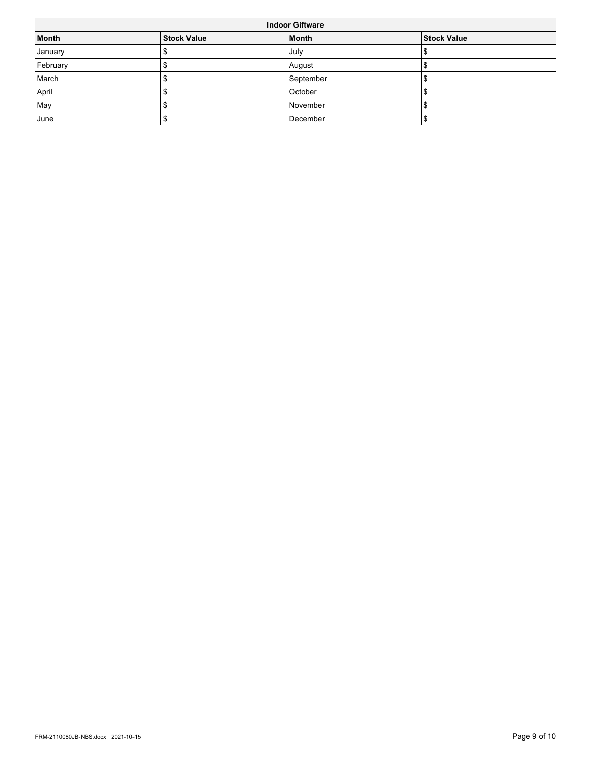| <b>Indoor Giftware</b> |                    |              |                    |  |  |
|------------------------|--------------------|--------------|--------------------|--|--|
| <b>Month</b>           | <b>Stock Value</b> | <b>Month</b> | <b>Stock Value</b> |  |  |
| January                |                    | July         |                    |  |  |
| February               |                    | August       |                    |  |  |
| March                  |                    | September    |                    |  |  |
| April                  |                    | October      |                    |  |  |
| May                    |                    | November     |                    |  |  |
| June                   |                    | December     |                    |  |  |